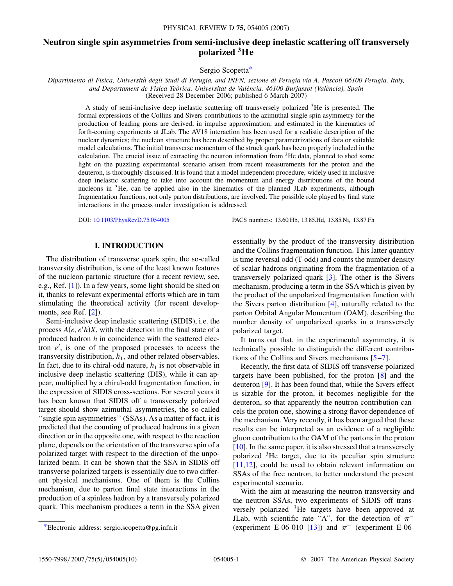# **Neutron single spin asymmetries from semi-inclusive deep inelastic scattering off transversely polarized 3He**

Sergio Scopetta[\\*](#page-0-0)

<span id="page-0-1"></span>*Dipartimento di Fisica, Universita` degli Studi di Perugia, and INFN, sezione di Perugia via A. Pascoli 06100 Perugia, Italy, and Departament de Fisica Teo`rica, Universitat de Vale`ncia, 46100 Burjassot (Vale`ncia), Spain* (Received 28 December 2006; published 6 March 2007)

A study of semi-inclusive deep inelastic scattering off transversely polarized 3He is presented. The formal expressions of the Collins and Sivers contributions to the azimuthal single spin asymmetry for the production of leading pions are derived, in impulse approximation, and estimated in the kinematics of forth-coming experiments at JLab. The AV18 interaction has been used for a realistic description of the nuclear dynamics; the nucleon structure has been described by proper parametrizations of data or suitable model calculations. The initial transverse momentum of the struck quark has been properly included in the calculation. The crucial issue of extracting the neutron information from  $3$ He data, planned to shed some light on the puzzling experimental scenario arisen from recent measurements for the proton and the deuteron, is thoroughly discussed. It is found that a model independent procedure, widely used in inclusive deep inelastic scattering to take into account the momentum and energy distributions of the bound nucleons in <sup>3</sup>He, can be applied also in the kinematics of the planned JLab experiments, although fragmentation functions, not only parton distributions, are involved. The possible role played by final state interactions in the process under investigation is addressed.

DOI: [10.1103/PhysRevD.75.054005](http://dx.doi.org/10.1103/PhysRevD.75.054005) PACS numbers: 13.60.Hb, 13.85.Hd, 13.85.Ni, 13.87.Fh

#### **I. INTRODUCTION**

The distribution of transverse quark spin, the so-called transversity distribution, is one of the least known features of the nucleon partonic structure (for a recent review, see, e.g., Ref. [[1\]](#page-9-0)). In a few years, some light should be shed on it, thanks to relevant experimental efforts which are in turn stimulating the theoretical activity (for recent developments, see Ref. [\[2\]](#page-9-1)).

Semi-inclusive deep inelastic scattering (SIDIS), i.e. the process  $A(e, e'h)X$ , with the detection in the final state of a produced hadron *h* in coincidence with the scattered electron *e'*, is one of the proposed processes to access the transversity distribution,  $h_1$ , and other related observables. In fact, due to its chiral-odd nature,  $h_1$  is not observable in inclusive deep inelastic scattering (DIS), while it can appear, multiplied by a chiral-odd fragmentation function, in the expression of SIDIS cross-sections. For several years it has been known that SIDIS off a transversely polarized target should show azimuthal asymmetries, the so-called "single spin asymmetries" (SSAs). As a matter of fact, it is predicted that the counting of produced hadrons in a given direction or in the opposite one, with respect to the reaction plane, depends on the orientation of the transverse spin of a polarized target with respect to the direction of the unpolarized beam. It can be shown that the SSA in SIDIS off transverse polarized targets is essentially due to two different physical mechanisms. One of them is the Collins mechanism, due to parton final state interactions in the production of a spinless hadron by a transversely polarized quark. This mechanism produces a term in the SSA given

essentially by the product of the transversity distribution and the Collins fragmentation function. This latter quantity is time reversal odd (T-odd) and counts the number density of scalar hadrons originating from the fragmentation of a transversely polarized quark [\[3\]](#page-9-2). The other is the Sivers mechanism, producing a term in the SSA which is given by the product of the unpolarized fragmentation function with the Sivers parton distribution [[4](#page-9-3)], naturally related to the parton Orbital Angular Momentum (OAM), describing the number density of unpolarized quarks in a transversely polarized target.

It turns out that, in the experimental asymmetry, it is technically possible to distinguish the different contributions of the Collins and Sivers mechanisms [[5](#page-9-4)–[7\]](#page-9-5).

Recently, the first data of SIDIS off transverse polarized targets have been published, for the proton [\[8](#page-9-6)] and the deuteron [[9\]](#page-9-7). It has been found that, while the Sivers effect is sizable for the proton, it becomes negligible for the deuteron, so that apparently the neutron contribution cancels the proton one, showing a strong flavor dependence of the mechanism. Very recently, it has been argued that these results can be interpreted as an evidence of a negligible gluon contribution to the OAM of the partons in the proton [\[10\]](#page-9-8). In the same paper, it is also stressed that a transversely polarized 3He target, due to its peculiar spin structure [\[11](#page-9-9)[,12\]](#page-9-10), could be used to obtain relevant information on SSAs of the free neutron, to better understand the present experimental scenario.

With the aim at measuring the neutron transversity and the neutron SSAs, two experiments of SIDIS off transversely polarized  ${}^{3}$ He targets have been approved at JLab, with scientific rate "A", for the detection of  $\pi^-$ \*Electronic address: sergio.scopetta@pg.infn.it (experiment E-06-010 [[13](#page-9-11)]) and  $\pi$ <sup>+</sup> (experiment E-06-

<span id="page-0-0"></span>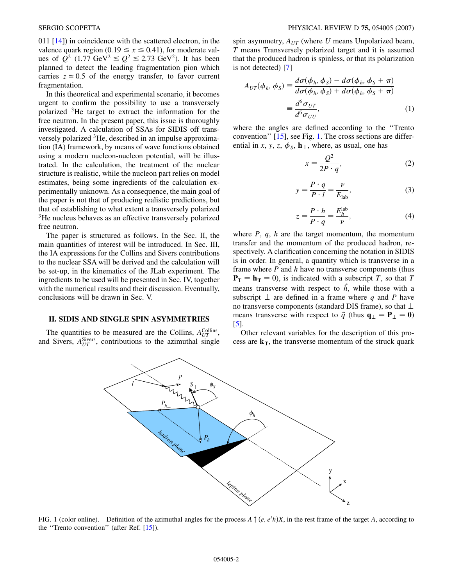011 [[14](#page-9-12)]) in coincidence with the scattered electron, in the valence quark region (0.19  $\leq x \leq$  0.41), for moderate values of  $Q^2$  (1.77 GeV<sup>2</sup>  $\leq Q^2 \leq 2.73$  GeV<sup>2</sup>). It has been planned to detect the leading fragmentation pion which carries  $z \approx 0.5$  of the energy transfer, to favor current fragmentation.

In this theoretical and experimental scenario, it becomes urgent to confirm the possibility to use a transversely polarized 3He target to extract the information for the free neutron. In the present paper, this issue is thoroughly investigated. A calculation of SSAs for SIDIS off transversely polarized 3He, described in an impulse approximation (IA) framework, by means of wave functions obtained using a modern nucleon-nucleon potential, will be illustrated. In the calculation, the treatment of the nuclear structure is realistic, while the nucleon part relies on model estimates, being some ingredients of the calculation experimentally unknown. As a consequence, the main goal of the paper is not that of producing realistic predictions, but that of establishing to what extent a transversely polarized 3He nucleus behaves as an effective transversely polarized free neutron.

The paper is structured as follows. In the Sec. II, the main quantities of interest will be introduced. In Sec. III, the IA expressions for the Collins and Sivers contributions to the nuclear SSA will be derived and the calculation will be set-up, in the kinematics of the JLab experiment. The ingredients to be used will be presented in Sec. IV, together with the numerical results and their discussion. Eventually, conclusions will be drawn in Sec. V.

## **II. SIDIS AND SINGLE SPIN ASYMMETRIES**

<span id="page-1-0"></span>The quantities to be measured are the Collins,  $A_{UT}^{\text{Collins}}$ , and Sivers,  $A_{UT}^{\text{Sivers}}$ , contributions to the azimuthal single spin asymmetry,  $A_{UT}$  (where  $U$  means Unpolarized beam, *T* means Transversely polarized target and it is assumed that the produced hadron is spinless, or that its polarization is not detected) [\[7\]](#page-9-5)

<span id="page-1-1"></span>
$$
A_{UT}(\phi_h, \phi_S) = \frac{d\sigma(\phi_h, \phi_S) - d\sigma(\phi_h, \phi_S + \pi)}{d\sigma(\phi_h, \phi_S) + d\sigma(\phi_h, \phi_S + \pi)}
$$
  

$$
= \frac{d^6 \sigma_{UT}}{d^6 \sigma_{UU}},
$$
 (1)

where the angles are defined according to the ''Trento convention'' [\[15\]](#page-9-13), see Fig. [1](#page-1-0). The cross sections are differential in *x*, *y*, *z*,  $\phi_S$ , **h**<sub> $\perp$ </sub>, where, as usual, one has

$$
x = \frac{Q^2}{2P \cdot q},\tag{2}
$$

$$
y = \frac{P \cdot q}{P \cdot l} = \frac{\nu}{E_{\text{lab}}},\tag{3}
$$

$$
z = \frac{P \cdot h}{P \cdot q} = \frac{E_h^{\text{lab}}}{\nu},\tag{4}
$$

where *P*, *q*, *h* are the target momentum, the momentum transfer and the momentum of the produced hadron, respectively. A clarification concerning the notation in SIDIS is in order. In general, a quantity which is transverse in a frame where *P* and *h* have no transverse components (thus  $P_T = h_T = 0$ , is indicated with a subscript *T*, so that *T* means transverse with respect to  $\vec{h}$ , while those with a subscript  $\perp$  are defined in a frame where *q* and *P* have no transverse components (standard DIS frame), so that  $\perp$ means transverse with respect to  $\vec{q}$  (thus  $\mathbf{q}_{\perp} = \mathbf{P}_{\perp} = \mathbf{0}$ ) [\[5\]](#page-9-4).

Other relevant variables for the description of this process are  $\mathbf{k}_T$ , the transverse momentum of the struck quark



FIG. 1 (color online). Definition of the azimuthal angles for the process  $A \uparrow (e, e'h)X$ , in the rest frame of the target *A*, according to the ''Trento convention'' (after Ref. [[15](#page-9-13)]).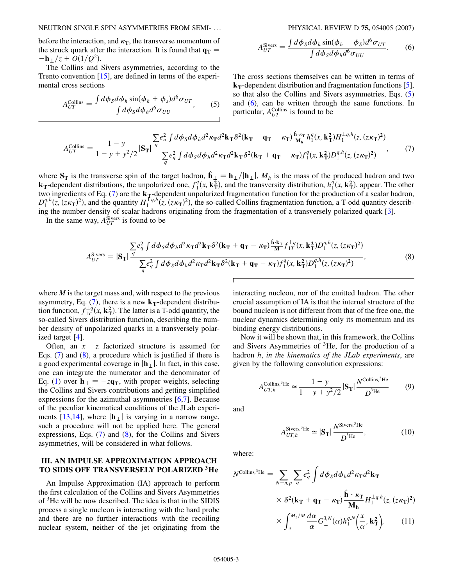NEUTRON SINGLE SPIN ASYMMETRIES FROM SEMI- ... PHYSICAL REVIEW D **75,** 054005 (2007)

before the interaction, and  $\kappa_{\rm T}$ , the transverse momentum of the struck quark after the interaction. It is found that  $q_T =$  $-\mathbf{h}_{\perp}/z + O(1/Q^2)$ .

<span id="page-2-1"></span>The Collins and Sivers asymmetries, according to the Trento convention [[15](#page-9-13)], are defined in terms of the experimental cross sections

$$
A_{UT}^{\text{Collins}} = \frac{\int d\phi_S d\phi_h \sin(\phi_h + \phi_s) d^6 \sigma_{UT}}{\int d\phi_S d\phi_h d^6 \sigma_{UU}},
$$
 (5)

$$
A_{UT}^{\text{Sivers}} = \frac{\int d\phi_S d\phi_h \sin(\phi_h - \phi_S) d^6 \sigma_{UT}}{\int d\phi_S d\phi_h d^6 \sigma_{UU}}.
$$
 (6)

<span id="page-2-0"></span>The cross sections themselves can be written in terms of  $k_T$ -dependent distribution and fragmentation functions [[5\]](#page-9-4), so that also the Collins and Sivers asymmetries, Eqs. [\(5\)](#page-2-0) and [\(6\)](#page-2-1), can be written through the same functions. In particular, *A*<sup>Collins</sup> is found to be

<span id="page-2-2"></span>
$$
A_{UT}^{\text{Collins}} = \frac{1 - y}{1 - y + y^2/2} |\mathbf{S_T}| \frac{\sum e_q^2 \int d\phi_S d\phi_h d^2 \kappa_{\mathbf{T}} d^2 \mathbf{k}_{\mathbf{T}} \delta^2 (\mathbf{k}_{\mathbf{T}} + \mathbf{q}_{\mathbf{T}} - \kappa_{\mathbf{T}}) \frac{\hat{\mathbf{h}} \cdot \kappa_{\mathbf{T}}}{\mathbf{M}_{\mathbf{h}}} h_1^q(x, \mathbf{k}_{\mathbf{T}}^2) H_1^{\perp q, h}(z, (z\kappa_{\mathbf{T}})^2)}{\sum e_q^2 \int d\phi_S d\phi_h d^2 \kappa_{\mathbf{T}} d^2 \mathbf{k}_{\mathbf{T}} \delta^2 (\mathbf{k}_{\mathbf{T}} + \mathbf{q}_{\mathbf{T}} - \kappa_{\mathbf{T}}) f_1^q(x, \mathbf{k}_{\mathbf{T}}^2) D_1^{q, h}(z, (z\kappa_{\mathbf{T}})^2)},
$$
(7)

where  $S_T$  is the transverse spin of the target hadron,  $\hat{\mathbf{h}}_{\perp} = \mathbf{h}_{\perp}/|\mathbf{h}_{\perp}|$ ,  $M_h$  is the mass of the produced hadron and two **k**<sub>T</sub>-dependent distributions, the unpolarized one,  $f_1^q(x, \mathbf{k}_T^2)$ , and the transversity distribution,  $h_1^q(x, \mathbf{k}_T^2)$ , appear. The other two ingredients of Eq. ([7\)](#page-2-2) are the  $k_T$ -dependent unpolarized fragmentation function for the production of a scalar hadron,  $D_1^{q,h}(z, (z\kappa_T)^2)$ , and the quantity  $H_1^{Lq,h}(z, (z\kappa_T)^2)$ , the so-called Collins fragmentation function, a T-odd quantity describing the number density of scalar hadrons originating from the fragmentation of a transversely polarized quark [[3](#page-9-2)].

<span id="page-2-3"></span>In the same way,  $A_{UT}^{\text{Sivers}}$  is found to be

$$
A_{UT}^{\text{Sivers}} = |\mathbf{S}_{\mathbf{T}}| \frac{\sum e_q^2 \int d\phi_S d\phi_h d^2 \kappa_{\mathbf{T}} d^2 \mathbf{k}_{\mathbf{T}} \delta^2 (\mathbf{k}_{\mathbf{T}} + \mathbf{q}_{\mathbf{T}} - \kappa_{\mathbf{T}}) \frac{\hat{\mathbf{h}} \cdot \mathbf{k}_{\mathbf{T}}}{M} f_{1T}^{\perp q}(x, \mathbf{k}_{\mathbf{T}}^2) D_1^{q,h}(z, (z\kappa_{\mathbf{T}})^2)}{\sum q^2 q \int d\phi_S d\phi_h d^2 \kappa_{\mathbf{T}} d^2 \mathbf{k}_{\mathbf{T}} \delta^2 (\mathbf{k}_{\mathbf{T}} + \mathbf{q}_{\mathbf{T}} - \kappa_{\mathbf{T}}) f_1^q(x, \mathbf{k}_{\mathbf{T}}^2) D_1^{q,h}(z, (z\kappa_{\mathbf{T}})^2)},
$$
\n(8)

where *M* is the target mass and, with respect to the previous asymmetry, Eq.  $(7)$  $(7)$ , there is a new  $\mathbf{k}_{\text{T}}$ -dependent distribution function,  $f_{1T}^{\perp q}(x, \mathbf{k}_T^2)$ . The latter is a T-odd quantity, the so-called Sivers distribution function, describing the number density of unpolarized quarks in a transversely polarized target [[4](#page-9-3)].

Often, an  $x - z$  factorized structure is assumed for Eqs. [\(7](#page-2-2)) and [\(8\)](#page-2-3), a procedure which is justified if there is a good experimental coverage in  $|\mathbf{h}_{\perp}|$ . In fact, in this case, one can integrate the numerator and the denominator of Eq. [\(1\)](#page-1-1) over  $\mathbf{h}_{\perp} = -z\mathbf{q}_T$ , with proper weights, selecting the Collins and Sivers contributions and getting simplified expressions for the azimuthal asymmetries [[6,](#page-9-14)[7\]](#page-9-5). Because of the peculiar kinematical conditions of the JLab experi-ments [\[13](#page-9-11)[,14\]](#page-9-12), where  $|\mathbf{h}_{\perp}|$  is varying in a narrow range, such a procedure will not be applied here. The general expressions, Eqs. [\(7\)](#page-2-2) and ([8](#page-2-3)), for the Collins and Sivers asymmetries, will be considered in what follows.

#### **III. AN IMPULSE APPROXIMATION APPROACH TO SIDIS OFF TRANSVERSELY POLARIZED 3He**

An Impulse Approximation (IA) approach to perform the first calculation of the Collins and Sivers Asymmetries of 3He will be now described. The idea is that in the SIDIS process a single nucleon is interacting with the hard probe and there are no further interactions with the recoiling nuclear system, neither of the jet originating from the interacting nucleon, nor of the emitted hadron. The other crucial assumption of IA is that the internal structure of the bound nucleon is not different from that of the free one, the nuclear dynamics determining only its momentum and its binding energy distributions.

Now it will be shown that, in this framework, the Collins and Sivers Asymmetries of 3He, for the production of a hadron *h*, *in the kinematics of the JLab experiments*, are given by the following convolution expressions:

<span id="page-2-4"></span>
$$
A_{UT,h}^{\text{Collins,3}He} \simeq \frac{1-y}{1-y+y^2/2} |\mathbf{S_T}| \frac{N^{\text{Collins,3}He}}{D^{\text{3}He}} \tag{9}
$$

<span id="page-2-5"></span>and

$$
A_{UT,h}^{\text{Sivers},^3\text{He}} \simeq |\mathbf{S_T}| \frac{N^{\text{Sivers},^3\text{He}}}{D^{\text{^3\text{He}}}},\tag{10}
$$

where:

$$
N^{\text{Collins,}^3\text{He}} = \sum_{N=n, p} \sum_{q} e_q^2 \int d\phi_S d\phi_h d^2 \kappa_{\text{T}} d^2 \mathbf{k}_{\text{T}}
$$
  
 
$$
\times \delta^2 (\mathbf{k}_{\text{T}} + \mathbf{q}_{\text{T}} - \kappa_{\text{T}}) \frac{\hat{\mathbf{h}} \cdot \kappa_{\text{T}}}{\mathbf{M}_{\text{h}}} H_1^{\perp q, h}(z, (z\kappa_{\text{T}})^2)
$$
  
 
$$
\times \int_x^{M_3/M} \frac{d\alpha}{\alpha} G_{\perp}^{3,N}(\alpha) h_1^{q,N} \left(\frac{x}{\alpha}, \mathbf{k}_{\text{T}}^2\right), \qquad (11)
$$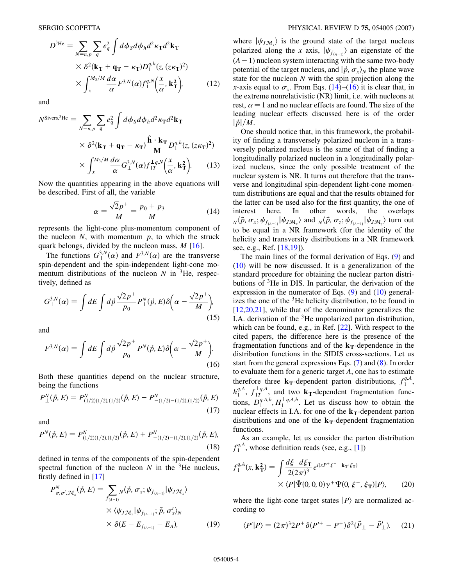$$
D^{3\text{He}} = \sum_{N=n,p} \sum_{q} e_q^2 \int d\phi_S d\phi_h d^2 \kappa_{\text{T}} d^2 \mathbf{k}_{\text{T}}
$$
  
 
$$
\times \delta^2 (\mathbf{k}_{\text{T}} + \mathbf{q}_{\text{T}} - \kappa_{\text{T}}) D_1^{q,h}(z, (z\kappa_{\text{T}})^2)
$$
  
 
$$
\times \int_x^{M_3/M} \frac{d\alpha}{\alpha} F^{3,N}(\alpha) f_1^{q,N} \left(\frac{x}{\alpha}, \mathbf{k}_{\text{T}}^2\right), \tag{12}
$$

and

$$
N^{\text{Sivers,}^3\text{He}} = \sum_{N=n,p} \sum_{q} e_q^2 \int d\phi_S d\phi_h d^2 \kappa_{\text{T}} d^2 \mathbf{k}_{\text{T}}
$$
  
 
$$
\times \delta^2 (\mathbf{k}_{\text{T}} + \mathbf{q}_{\text{T}} - \kappa_{\text{T}}) \frac{\hat{\mathbf{h}} \cdot \mathbf{k}_{\text{T}}}{\mathbf{M}} D_1^{q,h}(z, (z\kappa_{\text{T}})^2)
$$
  
 
$$
\times \int_x^{M_3/M} \frac{d\alpha}{\alpha} G_{\perp}^{3,N}(\alpha) f_{1T}^{\perp q,N} (\frac{x}{\alpha}, \mathbf{k}_{\text{T}}^2). \tag{13}
$$

<span id="page-3-0"></span>Now the quantities appearing in the above equations will be described. First of all, the variable

$$
\alpha = \frac{\sqrt{2}p^+}{M} = \frac{p_0 + p_3}{M} \tag{14}
$$

represents the light-cone plus-momentum component of the nucleon  $N$ , with momentum  $p$ , to which the struck quark belongs, divided by the nucleon mass, *M* [\[16\]](#page-9-15).

The functions  $G_{\perp}^{3,N}(\alpha)$  and  $F^{3,N}(\alpha)$  are the transverse spin-dependent and the spin-independent light-cone momentum distributions of the nucleon  $N$  in <sup>3</sup>He, respectively, defined as

<span id="page-3-6"></span>
$$
G_{\perp}^{3,N}(\alpha) = \int dE \int d\vec{p} \frac{\sqrt{2}p^+}{p_0} P_{\perp}^N(\vec{p}, E) \delta\left(\alpha - \frac{\sqrt{2}p^+}{M}\right),\tag{15}
$$

<span id="page-3-1"></span>and

$$
F^{3,N}(\alpha) = \int dE \int d\vec{p} \frac{\sqrt{2}p^+}{p_0} P^N(\vec{p}, E) \delta\left(\alpha - \frac{\sqrt{2}p^+}{M}\right).
$$
\n(16)

Both these quantities depend on the nuclear structure, being the functions

$$
P_{\perp}^{N}(\vec{p},E) = P_{(1/2)(1/2),(1/2)}^{N}(\vec{p},E) - P_{-(1/2)-(1/2),(1/2)}^{N}(\vec{p},E)
$$
\n(17)

<span id="page-3-4"></span>and

$$
P^N(\vec{p}, E) = P^N_{(1/2)(1/2),(1/2)}(\vec{p}, E) + P^N_{-(1/2)-(1/2),(1/2)}(\vec{p}, E),
$$
\n(18)

defined in terms of the components of the spin-dependent spectral function of the nucleon  $N$  in the <sup>3</sup>He nucleus, firstly defined in [[17](#page-9-16)]

<span id="page-3-5"></span>
$$
P_{\sigma,\sigma',\mathcal{M}_x}^N(\vec{p},E) = \sum_{f_{(A-1)}} \chi \langle \vec{p}, \sigma_x; \psi_{f_{(A-1)}} | \psi_{J\mathcal{M}_x} \rangle
$$
  
 
$$
\times \langle \psi_{J\mathcal{M}_x} | \psi_{f_{(A-1)}}; \vec{p}, \sigma_x' \rangle_N
$$
  
 
$$
\times \delta(E - E_{f_{(A-1)}} + E_A), \tag{19}
$$

where  $|\psi_{JM_x}\rangle$  is the ground state of the target nucleus polarized along the *x* axis,  $|\psi_{f(A-1)}\rangle$  an eigenstate of the  $(A-1)$  nucleon system interacting with the same two-body potential of the target nucleus, and  $|\vec{p}, \sigma_x\rangle_N$  the plane wave state for the nucleon *N* with the spin projection along the *x*-axis equal to  $\sigma_x$ . From Eqs. ([14](#page-3-0))–[\(16\)](#page-3-1) it is clear that, in the extreme nonrelativistic (NR) limit, i.e. with nucleons at rest,  $\alpha = 1$  and no nuclear effects are found. The size of the leading nuclear effects discussed here is of the order  $|\vec{p}|/M$ .

One should notice that, in this framework, the probability of finding a transversely polarized nucleon in a transversely polarized nucleus is the same of that of finding a longitudinally polarized nucleon in a longitudinally polarized nucleus, since the only possible treatment of the nuclear system is NR. It turns out therefore that the transverse and longitudinal spin-dependent light-cone momentum distributions are equal and that the results obtained for the latter can be used also for the first quantity, the one of interest here. In other words, the overlaps  $\int_N \langle \vec{p}, \sigma_x; \psi_{f_{(A-1)}} | \psi_{J\mathcal{M}_x} \rangle$  and  $\int_N \langle \vec{p}, \sigma_z; \psi_{f_{(A-1)}} | \psi_{J\mathcal{M}_z} \rangle$  turn out to be equal in a NR framework (for the identity of the helicity and transversity distributions in a NR framework see, e.g., Ref. [\[18](#page-9-17)[,19\]](#page-9-18)).

The main lines of the formal derivation of Eqs. [\(9](#page-2-4)) and [\(10\)](#page-2-5) will be now discussed. It is a generalization of the standard procedure for obtaining the nuclear parton distributions of 3He in DIS. In particular, the derivation of the expression in the numerator of Eqs. [\(9\)](#page-2-4) and [\(10\)](#page-2-5) generalizes the one of the  ${}^{3}$ He helicity distribution, to be found in  $[12,20,21]$  $[12,20,21]$  $[12,20,21]$  $[12,20,21]$ , while that of the denominator generalizes the I.A. derivation of the 3He unpolarized parton distribution, which can be found, e.g., in Ref. [\[22\]](#page-9-21). With respect to the cited papers, the difference here is the presence of the fragmentation functions and of the  $k_T$ -dependence in the distribution functions in the SIDIS cross-sections. Let us start from the general expressions Eqs. [\(7\)](#page-2-2) and [\(8\)](#page-2-3). In order to evaluate them for a generic target *A*, one has to estimate therefore three  $\mathbf{k}_{\text{T}}$ -dependent parton distributions,  $f_1^{q,A}$ ,  $h_1^{q,A}$ ,  $f_{1T}^{\perp q,A}$ , and two **k**<sub>T</sub>-dependent fragmentation functions,  $D_1^{q,A,h}, H_1^{\perp q,A,h}$ . Let us discuss how to obtain the nuclear effects in I.A. for one of the  $k_T$ -dependent parton distributions and one of the  $\mathbf{k}_{\text{T}}$ -dependent fragmentation functions.

As an example, let us consider the parton distribution  $f_1^{q, A}$ , whose definition reads (see, e.g., [\[1](#page-9-0)])

<span id="page-3-2"></span>
$$
f_1^{q,A}(x, \mathbf{k}_\mathbf{T}^2) = \int \frac{d\xi^- d\xi_\mathbf{T}}{2(2\pi)^3} e^{i(xP^+ \xi^- - \mathbf{k}_\mathbf{T} \cdot \xi_\mathbf{T})}
$$
  
 
$$
\times \langle P | \bar{\Psi}(0, 0, 0) \gamma^+ \Psi(0, \xi^-, \xi_\mathbf{T}) | P \rangle, \qquad (20)
$$

<span id="page-3-3"></span>where the light-cone target states  $|P\rangle$  are normalized according to

$$
\langle P'|P\rangle = (2\pi)^3 2P^+ \delta (P'^+ - P^+) \delta^2 (\vec{P}_\perp - \vec{P}'_\perp). \tag{21}
$$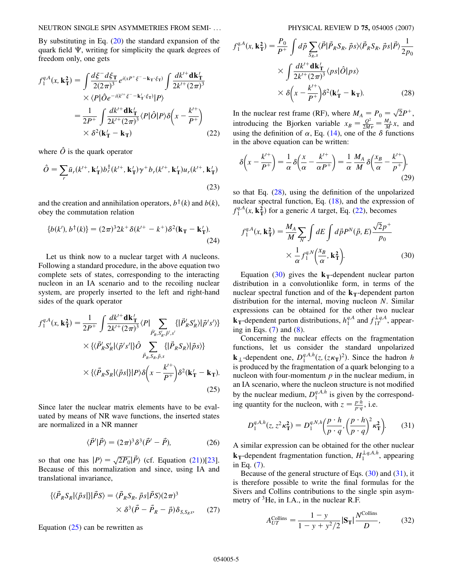By substituting in Eq.  $(20)$  the standard expansion of the quark field  $\Psi$ , writing for simplicity the quark degrees of freedom only, one gets

<span id="page-4-2"></span>
$$
f_1^{q,A}(x, \mathbf{k}_T^2) = \int \frac{d\xi^- d\xi_T}{2(2\pi)^3} e^{i(xP^+\xi^- - \mathbf{k}_T \cdot \xi_T)} \int \frac{dk'^+ \mathbf{dk}'_T}{2k'^+(2\pi)^3}
$$
  
 
$$
\times \langle P | \hat{O} e^{-i(k'^+\xi^- - \mathbf{k}'_T \cdot \xi_T)} | P \rangle
$$
  

$$
= \frac{1}{2P^+} \int \frac{dk'^+ \mathbf{dk}'_T}{2k'^+(2\pi)^3} \langle P | \hat{O} | P \rangle \delta \left( x - \frac{k'^+}{P^+} \right)
$$
  

$$
\times \delta^2(\mathbf{k}'_T - \mathbf{k}_T)
$$
 (22)

where  $\hat{O}$  is the quark operator

$$
\hat{O} = \sum_{r} \bar{u}_r(k^{r+}, \mathbf{k}_T') b_r^{\dagger} (k^{r+}, \mathbf{k}_T') \gamma^+ b_r(k^{r+}, \mathbf{k}_T') u_r(k^{r+}, \mathbf{k}_T')
$$
\n(23)

and the creation and annihilation operators,  $b^{\dagger}(k)$  and  $b(k)$ , obey the commutation relation

$$
\{b(k'), b^{\dagger}(k)\} = (2\pi)^3 2k^+ \delta(k'^+ - k^+) \delta^2(\mathbf{k_T} - \mathbf{k_T'}).
$$
\n(24)

<span id="page-4-0"></span>Let us think now to a nuclear target with *A* nucleons. Following a standard procedure, in the above equation two complete sets of states, corresponding to the interacting nucleon in an IA scenario and to the recoiling nuclear system, are properly inserted to the left and right-hand sides of the quark operator

$$
f_1^{q,A}(x, \mathbf{k}_T^2) = \frac{1}{2P^+} \int \frac{dk'^+ \mathbf{dk}'_T}{2k'^+(2\pi)^3} \langle P | \sum_{\vec{P}'_R, S'_R, \vec{p}', s'} \{ | \vec{P}'_R S'_R \rangle | \vec{p}'s' \rangle \} \times \langle \langle \vec{P}'_R S'_R | \langle \vec{p}'s' | \} \hat{O} \sum_{\vec{P}_R, S_R, \vec{p}, s} \{ | \vec{P}_R S_R \rangle | \vec{p}s \rangle \} \times \langle \langle \vec{P}_R S_R | \langle \vec{p}s | \} | P \rangle \delta \left( x - \frac{k'^+}{P^+} \right) \delta^2 (\mathbf{k}'_T - \mathbf{k}_T).
$$
\n(25)

Since later the nuclear matrix elements have to be evaluated by means of NR wave functions, the inserted states are normalized in a NR manner

$$
\langle \vec{P}' | \vec{P} \rangle = (2\pi)^3 \delta^3 (\vec{P}' - \vec{P}), \tag{26}
$$

so that one has  $|P\rangle = \sqrt{2P_0} |\vec{P}\rangle$  (cf. Equation ([21](#page-3-3)))[\[23\]](#page-9-22). Because of this normalization and since, using IA and translational invariance,

$$
\begin{aligned} \{\langle \vec{P}_R S_R | \langle \vec{p}_S | \rangle | \vec{P} S \rangle &= \langle \vec{P}_R S_R, \vec{p}_S | \vec{P} S \rangle (2\pi)^3 \\ &\times \delta^3 (\vec{P} - \vec{P}_R - \vec{p}) \delta_{S, S_R s}, \end{aligned} \tag{27}
$$

Equation  $(25)$  can be rewritten as

<span id="page-4-1"></span>
$$
f_1^{q, A}(x, \mathbf{k}_T^2) = \frac{P_0}{P^+} \int d\vec{p} \sum_{S_R, s} \langle \vec{P} | \vec{P}_R S_R, \vec{p}_S \rangle \langle \vec{P}_R S_R, \vec{p}_S | \vec{P} \rangle \frac{1}{2p_0}
$$

$$
\times \int \frac{dk'^+ \mathbf{dk}_T'}{2k'^+ (2\pi)^3} \langle p_S | \hat{O} | p_S \rangle
$$

$$
\times \delta \left( x - \frac{k'^+}{P^+} \right) \delta^2 (\mathbf{k}_T' - \mathbf{k}_T). \tag{28}
$$

In the nuclear rest frame (RF), where  $M_A = P_0 = \sqrt{2}P^+$ , introducing the Bjorken variable  $x_B = \frac{Q^2}{2M\nu} = \frac{M_A}{M}x$ , and using the definition of  $\alpha$ , Eq. ([14](#page-3-0)), one of the  $\delta$  functions in the above equation can be written:

$$
\delta\left(x - \frac{k'^{+}}{P^{+}}\right) = \frac{1}{\alpha} \delta\left(\frac{x}{\alpha} - \frac{k'^{+}}{\alpha P^{+}}\right) = \frac{1}{\alpha} \frac{M_A}{M} \delta\left(\frac{x_B}{\alpha} - \frac{k'^{+}}{P^{+}}\right),\tag{29}
$$

so that Eq. ([28](#page-4-1)), using the definition of the unpolarized nuclear spectral function, Eq. [\(18](#page-3-4)), and the expression of  $f_1^{q, A}(x, \mathbf{k}_T^2)$  for a generic *A* target, Eq. [\(22\)](#page-4-2), becomes

<span id="page-4-3"></span>
$$
f_1^{q,A}(x, \mathbf{k}_T^2) = \frac{M_A}{M} \sum_N \int dE \int d\vec{p} P^N(\vec{p}, E) \frac{\sqrt{2}p^+}{p_0}
$$

$$
\times \frac{1}{\alpha} f_1^{q,N} \left(\frac{x_B}{\alpha}, \mathbf{k}_T^2\right).
$$
(30)

Equation  $(30)$  $(30)$  gives the  $k_T$ -dependent nuclear parton distribution in a convolutionlike form, in terms of the nuclear spectral function and of the  $\mathbf{k}_{\text{T}}$ -dependent parton distribution for the internal, moving nucleon *N*. Similar expressions can be obtained for the other two nuclear **k**<sub>T</sub>-dependent parton distributions,  $h_1^{q,A}$  and  $f_{1T}^{\perp q,A}$ , appearing in Eqs.  $(7)$  and  $(8)$  $(8)$  $(8)$ .

Concerning the nuclear effects on the fragmentation functions, let us consider the standard unpolarized **k**<sub>1</sub>-dependent one,  $D_1^{q,A,h}(z, (z\kappa_T)^2)$ . Since the hadron *h* is produced by the fragmentation of a quark belonging to a nucleon with four-momentum *p* in the nuclear medium, in an IA scenario, where the nucleon structure is not modified by the nuclear medium,  $D_1^{q,A,h}$  is given by the corresponding quantity for the nucleon, with  $z = \frac{p \cdot h}{p \cdot q}$ , i.e.

<span id="page-4-4"></span>
$$
D_1^{q,A,h}(z, z^2 \kappa_{\mathbf{T}}^2) = D_1^{q,N,h} \left(\frac{p \cdot h}{p \cdot q}, \left(\frac{p \cdot h}{p \cdot q}\right)^2 \kappa_{\mathbf{T}}^2\right).
$$
 (31)

A similar expression can be obtained for the other nuclear **k**<sub>T</sub>-dependent fragmentation function,  $H_1^{\perp q, A, h}$ , appearing in Eq. ([7](#page-2-2)).

<span id="page-4-5"></span>Because of the general structure of Eqs.  $(30)$  $(30)$  and  $(31)$ , it is therefore possible to write the final formulas for the Sivers and Collins contributions to the single spin asymmetry of <sup>3</sup>He, in I.A., in the nuclear R.F.

$$
A_{UT}^{\text{Collins}} = \frac{1 - y}{1 - y + y^2/2} |\mathbf{S_T}| \frac{N^{\text{Collins}}}{D},\tag{32}
$$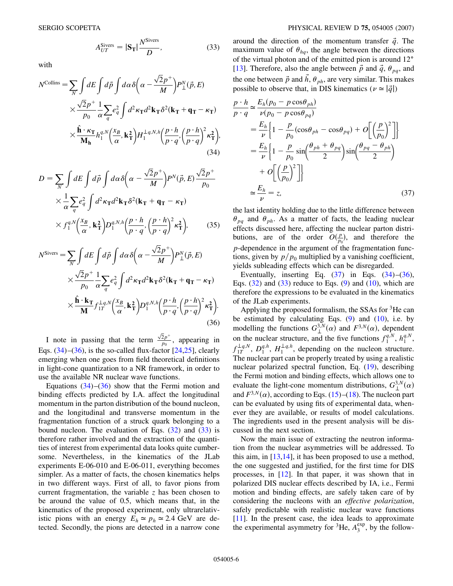$$
A_{UT}^{\text{Sivers}} = |\mathbf{S}_{\mathrm{T}}| \frac{N^{\text{Sivers}}}{D}, \tag{33}
$$

<span id="page-5-2"></span>with

$$
N^{\text{Collins}} = \sum_{N} \int dE \int d\vec{p} \int d\alpha \delta \left( \alpha - \frac{\sqrt{2}p^{+}}{M} \right) P_{\perp}^{N}(\vec{p}, E)
$$
  
 
$$
\times \frac{\sqrt{2}p^{+}}{p_{0}} \frac{1}{\alpha} \sum_{q} e_{q}^{2} \int d^{2} \kappa_{\mathbf{T}} d^{2} \mathbf{k}_{\mathbf{T}} \delta^{2}(\mathbf{k}_{\mathbf{T}} + \mathbf{q}_{\mathbf{T}} - \kappa_{\mathbf{T}})
$$
  
 
$$
\times \frac{\hat{\mathbf{h}} \cdot \kappa_{\mathbf{T}}}{\mathbf{M}_{\mathbf{h}}} h_{1}^{q, N} \left( \frac{x_{B}}{\alpha}, \mathbf{k}_{\mathbf{T}}^{2} \right) H_{1}^{\perp q, N, h} \left( \frac{p \cdot h}{p \cdot q}, \left( \frac{p \cdot h}{p \cdot q} \right)^{2} \kappa_{\mathbf{T}}^{2} \right), \tag{34}
$$

<span id="page-5-1"></span>
$$
D = \sum_{N} \int dE \int d\vec{p} \int d\alpha \delta \left( \alpha - \frac{\sqrt{2}p^{+}}{M} \right) P^{N}(\vec{p}, E) \frac{\sqrt{2}p^{+}}{p_{0}}
$$
  
 
$$
\times \frac{1}{\alpha} \sum_{q} e_{q}^{2} \int d^{2} \kappa_{\mathbf{T}} d^{2} \mathbf{k}_{\mathbf{T}} \delta^{2} (\mathbf{k}_{\mathbf{T}} + \mathbf{q}_{\mathbf{T}} - \kappa_{\mathbf{T}})
$$
  
 
$$
\times f_{1}^{q, N} \left( \frac{x_{B}}{\alpha}, \mathbf{k}_{\mathbf{T}}^{2} \right) D_{1}^{q, N, h} \left( \frac{p \cdot h}{p \cdot q}, \left( \frac{p \cdot h}{p \cdot q} \right)^{2} \kappa_{\mathbf{T}}^{2} \right), \tag{35}
$$

$$
N^{\text{Sivers}} = \sum_{N} \int dE \int d\vec{p} \int d\alpha \delta \left( \alpha - \frac{\sqrt{2}p^{+}}{M} \right) P_{\perp}^{N}(\vec{p}, E)
$$
  
 
$$
\times \frac{\sqrt{2}p^{+}}{p_{0}} \frac{1}{\alpha} \sum_{q} e_{q}^{2} \int d^{2} \kappa_{\text{T}} d^{2} \mathbf{k}_{\text{T}} \delta^{2} (\mathbf{k}_{\text{T}} + \mathbf{q}_{\text{T}} - \kappa_{\text{T}})
$$
  
 
$$
\times \frac{\hat{\mathbf{h}} \cdot \mathbf{k}_{\text{T}}}{M} f_{1T}^{\perp q, N} \left( \frac{x_{B}}{\alpha}, \mathbf{k}_{\text{T}}^{2} \right) D_{1}^{q, N, h} \left( \frac{p \cdot h}{p \cdot q}, \left( \frac{p \cdot h}{p \cdot q} \right)^{2} \kappa_{\text{T}}^{2} \right). \tag{36}
$$

<span id="page-5-0"></span>I note in passing that the term  $\sqrt{2}p^+$  $\frac{2p}{p_0}$ , appearing in Eqs.  $(34)$  $(34)$ – $(36)$ , is the so-called flux-factor  $[24,25]$  $[24,25]$  $[24,25]$ , clearly emerging when one goes from field theoretical definitions in light-cone quantization to a NR framework, in order to use the available NR nuclear wave functions.

Equations  $(34)$ – $(36)$  $(36)$  $(36)$  show that the Fermi motion and binding effects predicted by I.A. affect the longitudinal momentum in the parton distribution of the bound nucleon, and the longitudinal and transverse momentum in the fragmentation function of a struck quark belonging to a bound nucleon. The evaluation of Eqs.  $(32)$  and  $(33)$  $(33)$  $(33)$  is therefore rather involved and the extraction of the quantities of interest from experimental data looks quite cumbersome. Nevertheless, in the kinematics of the JLab experiments E-06-010 and E-06-011, everything becomes simpler. As a matter of facts, the chosen kinematics helps in two different ways. First of all, to favor pions from current fragmentation, the variable *z* has been chosen to be around the value of 0.5, which means that, in the kinematics of the proposed experiment, only ultrarelativistic pions with an energy  $E_h \approx p_h \approx 2.4$  GeV are detected. Secondly, the pions are detected in a narrow cone around the direction of the momentum transfer  $\vec{q}$ . The maximum value of  $\theta_{hq}$ , the angle between the directions of the virtual photon and of the emitted pion is around 12° [\[13\]](#page-9-11). Therefore, also the angle between  $\vec{p}$  and  $\vec{q}$ ,  $\theta_{pq}$ , and the one between  $\vec{p}$  and  $\vec{h}$ ,  $\theta_{ph}$ , are very similar. This makes possible to observe that, in DIS kinematics ( $\nu \approx |\vec{q}|$ )

<span id="page-5-3"></span>
$$
\frac{p \cdot h}{p \cdot q} \simeq \frac{E_h(p_0 - p \cos \theta_{ph})}{\nu(p_0 - p \cos \theta_{pq})}
$$
\n
$$
= \frac{E_h}{\nu} \Biggl\{ 1 - \frac{p}{p_0} (\cos \theta_{ph} - \cos \theta_{pq}) + O\Biggl[ \Bigl(\frac{p}{p_0}\Bigr)^2 \Bigr] \Biggr\}
$$
\n
$$
= \frac{E_h}{\nu} \Biggl\{ 1 - \frac{p}{p_0} \sin \Bigl(\frac{\theta_{ph} + \theta_{pq}}{2}\Bigr) \sin \Bigl(\frac{\theta_{pq} - \theta_{ph}}{2}\Bigr)
$$
\n
$$
+ O\Biggl[ \Bigl(\frac{p}{p_0}\Bigr)^2 \Bigr] \Biggr\}
$$
\n
$$
\simeq \frac{E_h}{\nu} = z,
$$
\n(37)

the last identity holding due to the little difference between  $\theta_{pq}$  and  $\theta_{ph}$ . As a matter of facts, the leading nuclear effects discussed here, affecting the nuclear parton distributions, are of the order  $O(\frac{p}{p_0})$ , and therefore the *p*-dependence in the argument of the fragmentation functions, given by  $p/p_0$  multiplied by a vanishing coefficient, yields subleading effects which can be disregarded.

Eventually, inserting Eq.  $(37)$  $(37)$  $(37)$  in Eqs.  $(34)$  $(34)$  $(34)$ – $(36)$  $(36)$ , Eqs.  $(32)$  and  $(33)$  reduce to Eqs.  $(9)$  and  $(10)$ , which are therefore the expressions to be evaluated in the kinematics of the JLab experiments.

Applying the proposed formalism, the SSAs for  ${}^{3}$ He can be estimated by calculating Eqs.  $(9)$  $(9)$  $(9)$  and  $(10)$ , i.e. by modelling the functions  $G_{\perp}^{3,N}(\alpha)$  and  $F^{3,N}(\alpha)$ , dependent on the nuclear structure, and the five functions  $f_1^{q,N}$ ,  $h_1^{q,N}$ ,  $f_{1T}^{\perp q,N}$ ,  $D_1^{q,h}$ ,  $H_1^{\perp q,h}$ , depending on the nucleon structure. The nuclear part can be properly treated by using a realistic nuclear polarized spectral function, Eq. [\(19\)](#page-3-5), describing the Fermi motion and binding effects, which allows one to evaluate the light-cone momentum distributions,  $G_{\perp}^{3,N}(\alpha)$ and  $F^{3,N}(\alpha)$ , according to Eqs. ([15](#page-3-6))–[\(18\)](#page-3-4). The nucleon part can be evaluated by using fits of experimental data, whenever they are available, or results of model calculations. The ingredients used in the present analysis will be discussed in the next section.

Now the main issue of extracting the neutron information from the nuclear asymmetries will be addressed. To this aim, in  $[13,14]$  $[13,14]$  $[13,14]$  $[13,14]$  $[13,14]$ , it has been proposed to use a method, the one suggested and justified, for the first time for DIS processes, in [[12\]](#page-9-10). In that paper, it was shown that in polarized DIS nuclear effects described by IA, i.e., Fermi motion and binding effects, are safely taken care of by considering the nucleons with an *effective polarization*, safely predictable with realistic nuclear wave functions [\[11\]](#page-9-9). In the present case, the idea leads to approximate the experimental asymmetry for  ${}^{3}$ He,  $A_{3}^{exp}$ , by the follow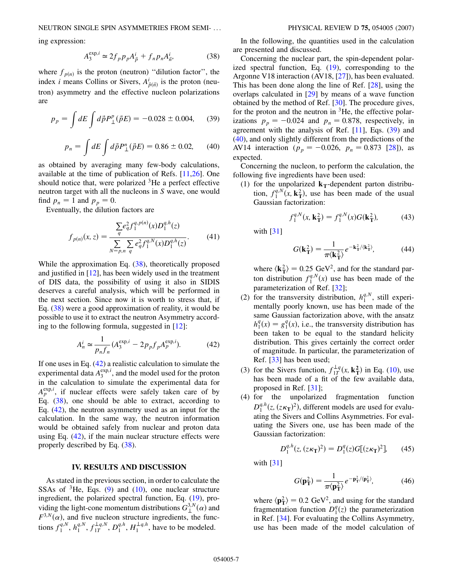<span id="page-6-0"></span>ing expression:

$$
A_3^{\exp,i} \simeq 2f_p p_p A_{\vec{p}}^i + f_n p_n A_{\vec{n}}^i,\tag{38}
$$

where  $f_{p(n)}$  is the proton (neutron) "dilution factor", the index *i* means Collins or Sivers,  $A^i_{\vec{p}(\vec{n})}$  is the proton (neutron) asymmetry and the effective nucleon polarizations are

<span id="page-6-3"></span>
$$
p_p = \int dE \int d\vec{p} P_{\perp}^p(\vec{p}E) = -0.028 \pm 0.004, \quad (39)
$$

$$
p_n = \int dE \int d\vec{p} P_{\perp}^n(\vec{p}E) = 0.86 \pm 0.02, \qquad (40)
$$

<span id="page-6-2"></span>as obtained by averaging many few-body calculations, available at the time of publication of Refs. [[11,](#page-9-9)[26](#page-9-25)]. One should notice that, were polarized  ${}^{3}$ He a perfect effective neutron target with all the nucleons in *S* wave, one would find  $p_n = 1$  and  $p_p = 0$ .

<span id="page-6-4"></span>Eventually, the dilution factors are

$$
f_{p(n)}(x,z) = \frac{\sum_{q} e_q^2 f_1^{q,p(n)}(x) D_1^{q,h}(z)}{\sum_{N=p,n} \sum_{q} e_q^2 f_1^{q,N}(x) D_1^{q,h}(z)}.
$$
(41)

While the approximation Eq.  $(38)$  $(38)$  $(38)$ , theoretically proposed and justified in [\[12\]](#page-9-10), has been widely used in the treatment of DIS data, the possibility of using it also in SIDIS deserves a careful analysis, which will be performed in the next section. Since now it is worth to stress that, if Eq. [\(38\)](#page-6-0) were a good approximation of reality, it would be possible to use it to extract the neutron Asymmetry according to the following formula, suggested in [[12](#page-9-10)]:

$$
A_n^i \simeq \frac{1}{p_n f_n} (A_3^{\exp,i} - 2p_p f_p A_p^{\exp,i}).
$$
 (42)

<span id="page-6-1"></span>If one uses in Eq.  $(42)$  $(42)$  a realistic calculation to simulate the experimental data  $A_3^{\exp i}$ , and the model used for the proton in the calculation to simulate the experimental data for  $A_p^{\exp i}$ , if nuclear effects were safely taken care of by Eq. [\(38\)](#page-6-0), one should be able to extract, according to Eq. [\(42\)](#page-6-1), the neutron asymmetry used as an input for the calculation. In the same way, the neutron information would be obtained safely from nuclear and proton data using Eq. [\(42\)](#page-6-1), if the main nuclear structure effects were properly described by Eq. ([38](#page-6-0)).

#### **IV. RESULTS AND DISCUSSION**

As stated in the previous section, in order to calculate the SSAs of  ${}^{3}$ He, Eqs. ([9](#page-2-4)) and [\(10\)](#page-2-5), one nuclear structure ingredient, the polarized spectral function, Eq. [\(19\)](#page-3-5), providing the light-cone momentum distributions  $G_{\perp}^{3,N}(\alpha)$  and  $F^{3,N}(\alpha)$ , and five nucleon structure ingredients, the functions  $f_1^{q,N}, h_1^{q,N}, f_{1T}^{\perp q,N}, D_1^{q,h}, H_1^{\perp q,h}$ , have to be modeled.

In the following, the quantities used in the calculation are presented and discussed.

Concerning the nuclear part, the spin-dependent polarized spectral function, Eq. ([19](#page-3-5)), corresponding to the Argonne V18 interaction (AV18, [\[27\]](#page-9-26)), has been evaluated. This has been done along the line of Ref. [\[28](#page-9-27)], using the overlaps calculated in [[29](#page-9-28)] by means of a wave function obtained by the method of Ref. [[30](#page-9-29)]. The procedure gives, for the proton and the neutron in  ${}^{3}$ He, the effective polarizations  $p_p = -0.024$  and  $p_n = 0.878$ , respectively, in agreement with the analysis of Ref.  $[11]$  $[11]$  $[11]$ , Eqs.  $(39)$  $(39)$  $(39)$  and [\(40\)](#page-6-3), and only slightly different from the predictions of the AV14 interaction ( $p_p = -0.026$ ,  $p_n = 0.873$  [\[28\]](#page-9-27)), as expected.

Concerning the nucleon, to perform the calculation, the following five ingredients have been used:

(1) for the unpolarized  $\mathbf{k}_T$ -dependent parton distribution,  $f_1^{q,N}(x, \mathbf{k}_T^2)$ , use has been made of the usual Gaussian factorization:

$$
f_1^{q,N}(x, \mathbf{k}_T^2) = f_1^{q,N}(x)G(\mathbf{k}_T^2),\tag{43}
$$

with [[31](#page-9-30)]

$$
G(\mathbf{k}_{\mathrm{T}}^2) = \frac{1}{\pi \langle \mathbf{k}_{\mathrm{T}}^2 \rangle} e^{-\mathbf{k}_{\mathrm{T}}^2 / \langle \mathbf{k}_{\mathrm{T}}^2 \rangle},\tag{44}
$$

where  $\langle \mathbf{k}_T^2 \rangle = 0.25 \text{ GeV}^2$ , and for the standard parton distribution  $f_1^{q,N}(x)$  use has been made of the parameterization of Ref. [[32\]](#page-9-31);

- (2) for the transversity distribution,  $h_1^{q,N}$ , still experimentally poorly known, use has been made of the same Gaussian factorization above, with the ansatz  $h_1^q(x) = g_1^q(x)$ , i.e., the transversity distribution has been taken to be equal to the standard helicity distribution. This gives certainly the correct order of magnitude. In particular, the parameterization of Ref. [\[33\]](#page-9-32) has been used;
- (3) for the Sivers function,  $f_{1T}^{\perp q}(x, \mathbf{k}_T^2)$  in Eq. [\(10\)](#page-2-5), use has been made of a fit of the few available data, proposed in Ref. [[31](#page-9-30)];
- (4) for the unpolarized fragmentation function  $D_1^{q,h}(z, (z\kappa_T)^2)$ , different models are used for evaluating the Sivers and Collins Asymmetries. For evaluating the Sivers one, use has been made of the Gaussian factorization:

$$
D_1^{q,h}(z, (z\kappa_{\mathbf{T}})^2) = D_1^q(z)G[(z\kappa_{\mathbf{T}})^2], \qquad (45)
$$

with [[31](#page-9-30)]

$$
G(\mathbf{p}_{\mathbf{T}}^2) = \frac{1}{\pi \langle \mathbf{p}_{\mathbf{T}}^2 \rangle} e^{-\mathbf{p}_{\mathbf{T}}^2 / \langle \mathbf{p}_{\mathbf{T}}^2 \rangle},\tag{46}
$$

where  $\langle \mathbf{p}_T^2 \rangle = 0.2 \text{ GeV}^2$ , and using for the standard fragmentation function  $D_1^q(z)$  the parameterization in Ref. [[34](#page-9-33)]. For evaluating the Collins Asymmetry, use has been made of the model calculation of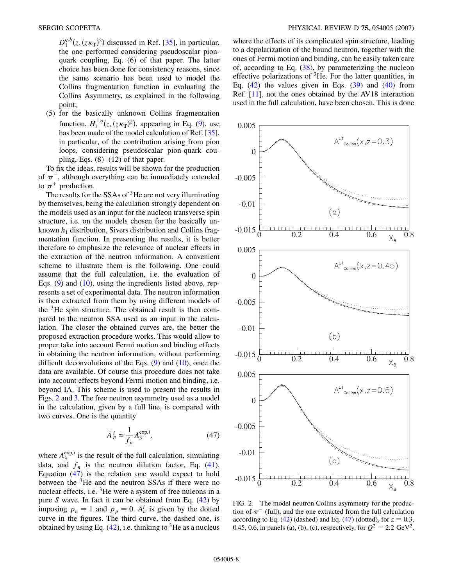$D_1^{q,h}(z, (z\kappa_T)^2)$  discussed in Ref. [\[35\]](#page-9-34), in particular, the one performed considering pseudoscalar pionquark coupling, Eq. (6) of that paper. The latter choice has been done for consistency reasons, since the same scenario has been used to model the Collins fragmentation function in evaluating the Collins Asymmetry, as explained in the following point;

(5) for the basically unknown Collins fragmentation function,  $H_1^{\perp q}(z, (z\kappa_T)^2)$ , appearing in Eq. [\(9](#page-2-4)), use has been made of the model calculation of Ref. [[35\]](#page-9-34), in particular, of the contribution arising from pion loops, considering pseudoscalar pion-quark coupling, Eqs.  $(8)$ – $(12)$  of that paper.

To fix the ideas, results will be shown for the production of  $\pi^-$ , although everything can be immediately extended to  $\pi^+$  production.

The results for the SSAs of  $3$ He are not very illuminating by themselves, being the calculation strongly dependent on the models used as an input for the nucleon transverse spin structure, i.e. on the models chosen for the basically unknown  $h_1$  distribution, Sivers distribution and Collins fragmentation function. In presenting the results, it is better therefore to emphasize the relevance of nuclear effects in the extraction of the neutron information. A convenient scheme to illustrate them is the following. One could assume that the full calculation, i.e. the evaluation of Eqs. [\(9](#page-2-4)) and [\(10\)](#page-2-5), using the ingredients listed above, represents a set of experimental data. The neutron information is then extracted from them by using different models of the  $3$ He spin structure. The obtained result is then compared to the neutron SSA used as an input in the calculation. The closer the obtained curves are, the better the proposed extraction procedure works. This would allow to proper take into account Fermi motion and binding effects in obtaining the neutron information, without performing difficult deconvolutions of the Eqs.  $(9)$  $(9)$  $(9)$  and  $(10)$  $(10)$ , once the data are available. Of course this procedure does not take into account effects beyond Fermi motion and binding, i.e. beyond IA. This scheme is used to present the results in Figs. [2](#page-7-0) and [3.](#page-8-0) The free neutron asymmetry used as a model in the calculation, given by a full line, is compared with two curves. One is the quantity

$$
\bar{A}^i_n \simeq \frac{1}{f_n} A_3^{\exp,i},\tag{47}
$$

<span id="page-7-1"></span>where  $A_3^{\exp,i}$  is the result of the full calculation, simulating data, and  $f_n$  is the neutron dilution factor, Eq. [\(41\)](#page-6-4). Equation [\(47\)](#page-7-1) is the relation one would expect to hold between the  ${}^{3}$ He and the neutron SSAs if there were no nuclear effects, i.e. <sup>3</sup>He were a system of free nuleons in a pure *S* wave. In fact it can be obtained from Eq. [\(42](#page-6-1)) by imposing  $p_n = 1$  and  $p_p = 0$ .  $\overline{A}^i_n$  is given by the dotted curve in the figures. The third curve, the dashed one, is obtained by using Eq.  $(42)$  $(42)$  $(42)$ , i.e. thinking to <sup>3</sup>He as a nucleus where the effects of its complicated spin structure, leading to a depolarization of the bound neutron, together with the ones of Fermi motion and binding, can be easily taken care of, according to Eq. ([38](#page-6-0)), by parameterizing the nucleon effective polarizations of  ${}^{3}$ He. For the latter quantities, in Eq.  $(42)$  the values given in Eqs.  $(39)$  $(39)$  $(39)$  and  $(40)$  from Ref. [[11](#page-9-9)], not the ones obtained by the AV18 interaction used in the full calculation, have been chosen. This is done

<span id="page-7-0"></span>

FIG. 2. The model neutron Collins asymmetry for the production of  $\pi^-$  (full), and the one extracted from the full calculation according to Eq.  $(42)$  (dashed) and Eq.  $(47)$  $(47)$  $(47)$  (dotted), for  $z = 0.3$ , 0.45, 0.6, in panels (a), (b), (c), respectively, for  $Q^2 = 2.2 \text{ GeV}^2$ .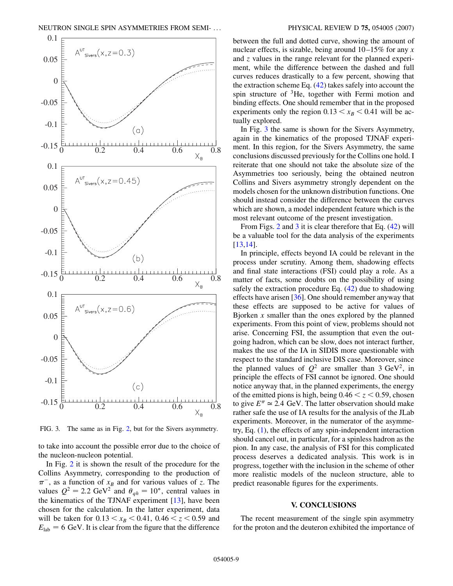<span id="page-8-0"></span>

FIG. 3. The same as in Fig. [2](#page-7-0), but for the Sivers asymmetry.

to take into account the possible error due to the choice of the nucleon-nucleon potential.

In Fig. [2](#page-7-0) it is shown the result of the procedure for the Collins Asymmetry, corresponding to the production of  $\pi^-$ , as a function of  $x_B$  and for various values of *z*. The values  $Q^2 = 2.2 \text{ GeV}^2$  and  $\theta_{qh} = 10^\circ$ , central values in the kinematics of the TJNAF experiment [\[13\]](#page-9-11), have been chosen for the calculation. In the latter experiment, data will be taken for  $0.13 < x_B < 0.41$ ,  $0.46 < z < 0.59$  and  $E_{\text{lab}} = 6$  GeV. It is clear from the figure that the difference between the full and dotted curve, showing the amount of nuclear effects, is sizable, being around 10–15% for any *x* and *z* values in the range relevant for the planned experiment, while the difference between the dashed and full curves reduces drastically to a few percent, showing that the extraction scheme Eq. [\(42\)](#page-6-1) takes safely into account the spin structure of  ${}^{3}$ He, together with Fermi motion and binding effects. One should remember that in the proposed experiments only the region  $0.13 \lt x_B \lt 0.41$  will be actually explored.

In Fig. [3](#page-8-0) the same is shown for the Sivers Asymmetry, again in the kinematics of the proposed TJNAF experiment. In this region, for the Sivers Asymmetry, the same conclusions discussed previously for the Collins one hold. I reiterate that one should not take the absolute size of the Asymmetries too seriously, being the obtained neutron Collins and Sivers asymmetry strongly dependent on the models chosen for the unknown distribution functions. One should instead consider the difference between the curves which are shown, a model independent feature which is the most relevant outcome of the present investigation.

From Figs. [2](#page-7-0) and [3](#page-8-0) it is clear therefore that Eq. [\(42\)](#page-6-1) will be a valuable tool for the data analysis of the experiments [\[13](#page-9-11)[,14\]](#page-9-12).

In principle, effects beyond IA could be relevant in the process under scrutiny. Among them, shadowing effects and final state interactions (FSI) could play a role. As a matter of facts, some doubts on the possibility of using safely the extraction procedure Eq. ([42](#page-6-1)) due to shadowing effects have arisen [\[36\]](#page-9-35). One should remember anyway that these effects are supposed to be active for values of Bjorken *x* smaller than the ones explored by the planned experiments. From this point of view, problems should not arise. Concerning FSI, the assumption that even the outgoing hadron, which can be slow, does not interact further, makes the use of the IA in SIDIS more questionable with respect to the standard inclusive DIS case. Moreover, since the planned values of  $Q^2$  are smaller than 3 GeV<sup>2</sup>, in principle the effects of FSI cannot be ignored. One should notice anyway that, in the planned experiments, the energy of the emitted pions is high, being  $0.46 < z < 0.59$ , chosen to give  $E^{\pi} \approx 2.4$  GeV. The latter observation should make rather safe the use of IA results for the analysis of the JLab experiments. Moreover, in the numerator of the asymmetry, Eq. ([1\)](#page-1-1), the effects of any spin-independent interaction should cancel out, in particular, for a spinless hadron as the pion. In any case, the analysis of FSI for this complicated process deserves a dedicated analysis. This work is in progress, together with the inclusion in the scheme of other more realistic models of the nucleon structure, able to predict reasonable figures for the experiments.

#### **V. CONCLUSIONS**

The recent measurement of the single spin asymmetry for the proton and the deuteron exhibited the importance of